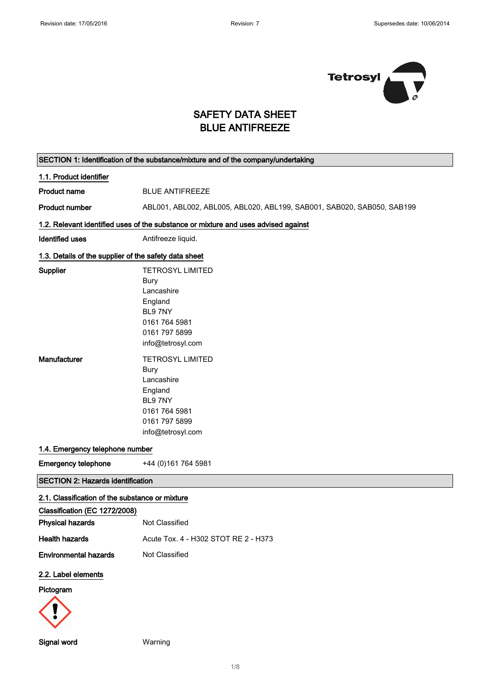$\Gamma$ 

 $\overline{\phantom{0}}$ 



## SAFETY DATA SHEET BLUE ANTIFREEZE

|                                                          | SECTION 1: Identification of the substance/mixture and of the company/undertaking                                                                                   |
|----------------------------------------------------------|---------------------------------------------------------------------------------------------------------------------------------------------------------------------|
| 1.1. Product identifier                                  |                                                                                                                                                                     |
| <b>Product name</b>                                      | <b>BLUE ANTIFREEZE</b>                                                                                                                                              |
| <b>Product number</b>                                    | ABL001, ABL002, ABL005, ABL020, ABL199, SAB001, SAB020, SAB050, SAB199                                                                                              |
|                                                          | 1.2. Relevant identified uses of the substance or mixture and uses advised against                                                                                  |
| <b>Identified uses</b>                                   | Antifreeze liquid.                                                                                                                                                  |
| 1.3. Details of the supplier of the safety data sheet    |                                                                                                                                                                     |
| Supplier<br>Manufacturer                                 | <b>TETROSYL LIMITED</b><br>Bury<br>Lancashire<br>England<br>BL97NY<br>0161 764 5981<br>0161 797 5899<br>info@tetrosyl.com<br><b>TETROSYL LIMITED</b><br><b>Bury</b> |
|                                                          | Lancashire<br>England<br>BL97NY<br>0161 764 5981<br>0161 797 5899<br>info@tetrosyl.com                                                                              |
| 1.4. Emergency telephone number                          |                                                                                                                                                                     |
| <b>Emergency telephone</b>                               | +44 (0) 161 764 5981                                                                                                                                                |
| <b>SECTION 2: Hazards identification</b>                 |                                                                                                                                                                     |
| 2.1. Classification of the substance or mixture          |                                                                                                                                                                     |
| Classification (EC 1272/2008)<br><b>Physical hazards</b> | Not Classified                                                                                                                                                      |
| <b>Health hazards</b>                                    | Acute Tox. 4 - H302 STOT RE 2 - H373                                                                                                                                |
| <b>Environmental hazards</b>                             | Not Classified                                                                                                                                                      |
| 2.2. Label elements<br>Pictogram                         |                                                                                                                                                                     |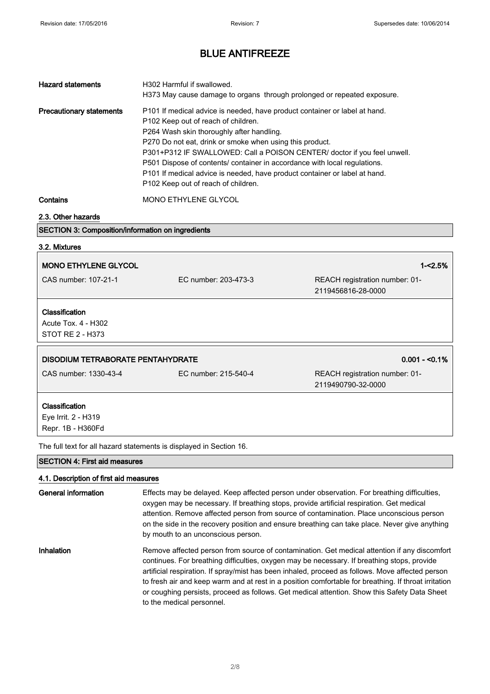| <b>Hazard statements</b>                                  | H302 Harmful if swallowed.<br>H373 May cause damage to organs through prolonged or repeated exposure.                                                                                                                                                                                                                                                                                                                                                                                                    |
|-----------------------------------------------------------|----------------------------------------------------------------------------------------------------------------------------------------------------------------------------------------------------------------------------------------------------------------------------------------------------------------------------------------------------------------------------------------------------------------------------------------------------------------------------------------------------------|
| <b>Precautionary statements</b>                           | P101 If medical advice is needed, have product container or label at hand.<br>P102 Keep out of reach of children.<br>P264 Wash skin thoroughly after handling.<br>P270 Do not eat, drink or smoke when using this product.<br>P301+P312 IF SWALLOWED: Call a POISON CENTER/ doctor if you feel unwell.<br>P501 Dispose of contents/ container in accordance with local regulations.<br>P101 If medical advice is needed, have product container or label at hand.<br>P102 Keep out of reach of children. |
| $\mathbf{A}$ - $\mathbf{A}$ - $\mathbf{A}$ - $\mathbf{A}$ | $\overline{M}$                                                                                                                                                                                                                                                                                                                                                                                                                                                                                           |

Contains MONO ETHYLENE GLYCOL

#### 2.3. Other hazards

### SECTION 3: Composition/information on ingredients

| 3.2. Mixtures                                                    |                      |                                                      |
|------------------------------------------------------------------|----------------------|------------------------------------------------------|
| <b>MONO ETHYLENE GLYCOL</b>                                      |                      | $1 - 2.5%$                                           |
| CAS number: 107-21-1                                             | EC number: 203-473-3 | REACH registration number: 01-<br>2119456816-28-0000 |
| <b>Classification</b><br>Acute Tox. 4 - H302<br>STOT RE 2 - H373 |                      |                                                      |
|                                                                  |                      |                                                      |
| <b>DISODIUM TETRABORATE PENTAHYDRATE</b>                         |                      | $0.001 - 0.1\%$                                      |
| CAS number: 1330-43-4                                            | EC number: 215-540-4 | REACH registration number: 01-<br>2119490790-32-0000 |
| Classification<br>Eye Irrit. 2 - H319<br>Repr. 1B - H360Fd       |                      |                                                      |

SECTION 4: First aid measures

### 4.1. Description of first aid measures

| <b>General information</b> | Effects may be delayed. Keep affected person under observation. For breathing difficulties,<br>oxygen may be necessary. If breathing stops, provide artificial respiration. Get medical<br>attention. Remove affected person from source of contamination. Place unconscious person<br>on the side in the recovery position and ensure breathing can take place. Never give anything<br>by mouth to an unconscious person.                                                                                                           |
|----------------------------|--------------------------------------------------------------------------------------------------------------------------------------------------------------------------------------------------------------------------------------------------------------------------------------------------------------------------------------------------------------------------------------------------------------------------------------------------------------------------------------------------------------------------------------|
| Inhalation                 | Remove affected person from source of contamination. Get medical attention if any discomfort<br>continues. For breathing difficulties, oxygen may be necessary. If breathing stops, provide<br>artificial respiration. If spray/mist has been inhaled, proceed as follows. Move affected person<br>to fresh air and keep warm and at rest in a position comfortable for breathing. If throat irritation<br>or coughing persists, proceed as follows. Get medical attention. Show this Safety Data Sheet<br>to the medical personnel. |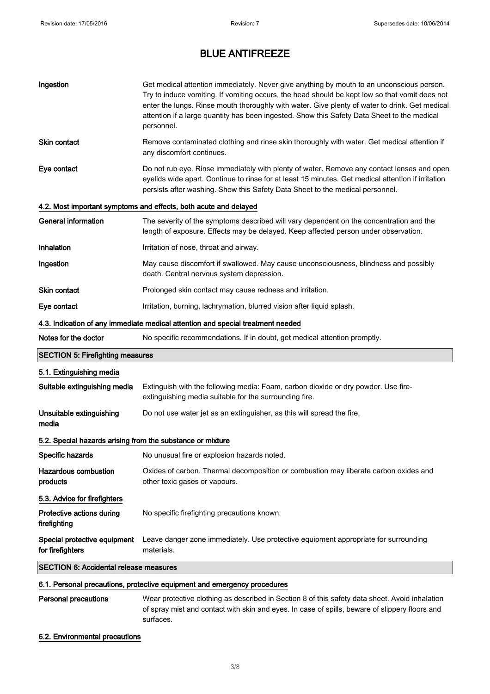| Ingestion                                                  | Get medical attention immediately. Never give anything by mouth to an unconscious person.<br>Try to induce vomiting. If vomiting occurs, the head should be kept low so that vomit does not<br>enter the lungs. Rinse mouth thoroughly with water. Give plenty of water to drink. Get medical<br>attention if a large quantity has been ingested. Show this Safety Data Sheet to the medical<br>personnel. |
|------------------------------------------------------------|------------------------------------------------------------------------------------------------------------------------------------------------------------------------------------------------------------------------------------------------------------------------------------------------------------------------------------------------------------------------------------------------------------|
| Skin contact                                               | Remove contaminated clothing and rinse skin thoroughly with water. Get medical attention if<br>any discomfort continues.                                                                                                                                                                                                                                                                                   |
| Eye contact                                                | Do not rub eye. Rinse immediately with plenty of water. Remove any contact lenses and open<br>eyelids wide apart. Continue to rinse for at least 15 minutes. Get medical attention if irritation<br>persists after washing. Show this Safety Data Sheet to the medical personnel.                                                                                                                          |
|                                                            | 4.2. Most important symptoms and effects, both acute and delayed                                                                                                                                                                                                                                                                                                                                           |
| <b>General information</b>                                 | The severity of the symptoms described will vary dependent on the concentration and the<br>length of exposure. Effects may be delayed. Keep affected person under observation.                                                                                                                                                                                                                             |
| Inhalation                                                 | Irritation of nose, throat and airway.                                                                                                                                                                                                                                                                                                                                                                     |
| Ingestion                                                  | May cause discomfort if swallowed. May cause unconsciousness, blindness and possibly<br>death. Central nervous system depression.                                                                                                                                                                                                                                                                          |
| <b>Skin contact</b>                                        | Prolonged skin contact may cause redness and irritation.                                                                                                                                                                                                                                                                                                                                                   |
| Eye contact                                                | Irritation, burning, lachrymation, blurred vision after liquid splash.                                                                                                                                                                                                                                                                                                                                     |
|                                                            | 4.3. Indication of any immediate medical attention and special treatment needed                                                                                                                                                                                                                                                                                                                            |
|                                                            |                                                                                                                                                                                                                                                                                                                                                                                                            |
| Notes for the doctor                                       | No specific recommendations. If in doubt, get medical attention promptly.                                                                                                                                                                                                                                                                                                                                  |
| <b>SECTION 5: Firefighting measures</b>                    |                                                                                                                                                                                                                                                                                                                                                                                                            |
| 5.1. Extinguishing media                                   |                                                                                                                                                                                                                                                                                                                                                                                                            |
| Suitable extinguishing media                               | Extinguish with the following media: Foam, carbon dioxide or dry powder. Use fire-<br>extinguishing media suitable for the surrounding fire.                                                                                                                                                                                                                                                               |
| Unsuitable extinguishing<br>media                          | Do not use water jet as an extinguisher, as this will spread the fire.                                                                                                                                                                                                                                                                                                                                     |
| 5.2. Special hazards arising from the substance or mixture |                                                                                                                                                                                                                                                                                                                                                                                                            |
| Specific hazards                                           | No unusual fire or explosion hazards noted.                                                                                                                                                                                                                                                                                                                                                                |
| <b>Hazardous combustion</b><br>products                    | Oxides of carbon. Thermal decomposition or combustion may liberate carbon oxides and<br>other toxic gases or vapours.                                                                                                                                                                                                                                                                                      |
| 5.3. Advice for firefighters                               |                                                                                                                                                                                                                                                                                                                                                                                                            |
| Protective actions during<br>firefighting                  | No specific firefighting precautions known.                                                                                                                                                                                                                                                                                                                                                                |
| Special protective equipment<br>for firefighters           | Leave danger zone immediately. Use protective equipment appropriate for surrounding<br>materials.                                                                                                                                                                                                                                                                                                          |
| <b>SECTION 6: Accidental release measures</b>              |                                                                                                                                                                                                                                                                                                                                                                                                            |

# Personal precautions Wear protective clothing as described in Section 8 of this safety data sheet. Avoid inhalation

of spray mist and contact with skin and eyes. In case of spills, beware of slippery floors and surfaces.

### 6.2. Environmental precautions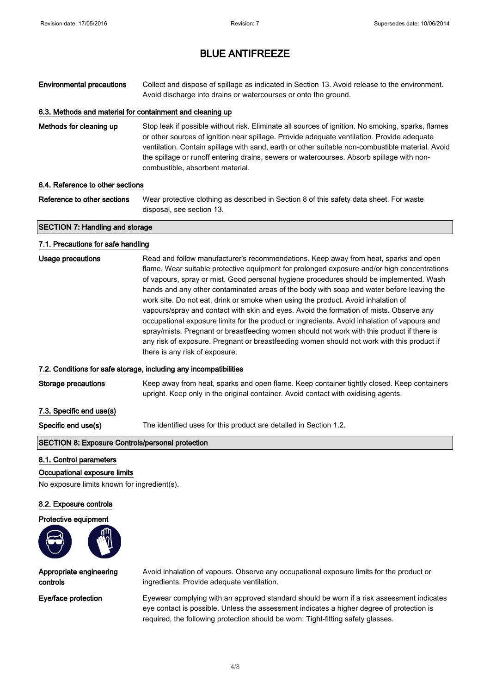Environmental precautions Collect and dispose of spillage as indicated in Section 13. Avoid release to the environment. Avoid discharge into drains or watercourses or onto the ground.

### 6.3. Methods and material for containment and cleaning up

Methods for cleaning up Stop leak if possible without risk. Eliminate all sources of ignition. No smoking, sparks, flames or other sources of ignition near spillage. Provide adequate ventilation. Provide adequate ventilation. Contain spillage with sand, earth or other suitable non-combustible material. Avoid the spillage or runoff entering drains, sewers or watercourses. Absorb spillage with noncombustible, absorbent material.

#### 6.4. Reference to other sections

Reference to other sections Wear protective clothing as described in Section 8 of this safety data sheet. For waste disposal, see section 13.

#### SECTION 7: Handling and storage

#### 7.1. Precautions for safe handling

| Usage precautions | Read and follow manufacturer's recommendations. Keep away from heat, sparks and open         |
|-------------------|----------------------------------------------------------------------------------------------|
|                   | flame. Wear suitable protective equipment for prolonged exposure and/or high concentrations  |
|                   | of vapours, spray or mist. Good personal hygiene procedures should be implemented. Wash      |
|                   | hands and any other contaminated areas of the body with soap and water before leaving the    |
|                   | work site. Do not eat, drink or smoke when using the product. Avoid inhalation of            |
|                   | vapours/spray and contact with skin and eyes. Avoid the formation of mists. Observe any      |
|                   | occupational exposure limits for the product or ingredients. Avoid inhalation of vapours and |
|                   | spray/mists. Pregnant or breastfeeding women should not work with this product if there is   |
|                   | any risk of exposure. Pregnant or breastfeeding women should not work with this product if   |
|                   | there is any risk of exposure.                                                               |
|                   |                                                                                              |

#### 7.2. Conditions for safe storage, including any incompatibilities

Storage precautions Keep away from heat, sparks and open flame. Keep container tightly closed. Keep containers upright. Keep only in the original container. Avoid contact with oxidising agents.

7.3. Specific end use(s)

Specific end use(s) The identified uses for this product are detailed in Section 1.2.

#### SECTION 8: Exposure Controls/personal protection

#### 8.1. Control parameters

Occupational exposure limits

No exposure limits known for ingredient(s).

#### 8.2. Exposure controls

Protective equipment



Appropriate engineering controls

Avoid inhalation of vapours. Observe any occupational exposure limits for the product or ingredients. Provide adequate ventilation.

Eye/face protection Eyewear complying with an approved standard should be worn if a risk assessment indicates eye contact is possible. Unless the assessment indicates a higher degree of protection is required, the following protection should be worn: Tight-fitting safety glasses.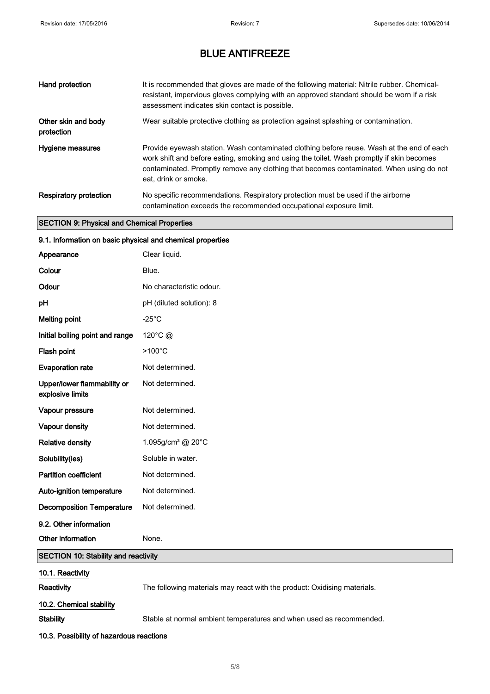| Hand protection                   | It is recommended that gloves are made of the following material: Nitrile rubber. Chemical-<br>resistant, impervious gloves complying with an approved standard should be worn if a risk<br>assessment indicates skin contact is possible.                                                                |
|-----------------------------------|-----------------------------------------------------------------------------------------------------------------------------------------------------------------------------------------------------------------------------------------------------------------------------------------------------------|
| Other skin and body<br>protection | Wear suitable protective clothing as protection against splashing or contamination.                                                                                                                                                                                                                       |
| Hygiene measures                  | Provide eyewash station. Wash contaminated clothing before reuse. Wash at the end of each<br>work shift and before eating, smoking and using the toilet. Wash promptly if skin becomes<br>contaminated. Promptly remove any clothing that becomes contaminated. When using do not<br>eat, drink or smoke. |
| <b>Respiratory protection</b>     | No specific recommendations. Respiratory protection must be used if the airborne<br>contamination exceeds the recommended occupational exposure limit.                                                                                                                                                    |

### SECTION 9: Physical and Chemical Properties

| 9.1. Information on basic physical and chemical properties |                                                                          |
|------------------------------------------------------------|--------------------------------------------------------------------------|
| Appearance                                                 | Clear liquid.                                                            |
| Colour                                                     | Blue.                                                                    |
| Odour                                                      | No characteristic odour.                                                 |
| рH                                                         | pH (diluted solution): 8                                                 |
| <b>Melting point</b>                                       | $-25^{\circ}$ C                                                          |
| Initial boiling point and range                            | 120°C @                                                                  |
| Flash point                                                | $>100^{\circ}$ C                                                         |
| <b>Evaporation rate</b>                                    | Not determined.                                                          |
| Upper/lower flammability or<br>explosive limits            | Not determined.                                                          |
| Vapour pressure                                            | Not determined.                                                          |
| Vapour density                                             | Not determined.                                                          |
| <b>Relative density</b>                                    | 1.095g/cm <sup>3</sup> @ 20°C                                            |
| Solubility(ies)                                            | Soluble in water.                                                        |
| <b>Partition coefficient</b>                               | Not determined.                                                          |
| Auto-ignition temperature                                  | Not determined.                                                          |
| <b>Decomposition Temperature</b>                           | Not determined.                                                          |
| 9.2. Other information                                     |                                                                          |
| Other information                                          | None.                                                                    |
| <b>SECTION 10: Stability and reactivity</b>                |                                                                          |
| 10.1. Reactivity                                           |                                                                          |
| Reactivity                                                 | The following materials may react with the product: Oxidising materials. |
| 10.2. Chemical stability                                   |                                                                          |
| <b>Stability</b>                                           | Stable at normal ambient temperatures and when used as recommended.      |
| 10.3. Possibility of hazardous reactions                   |                                                                          |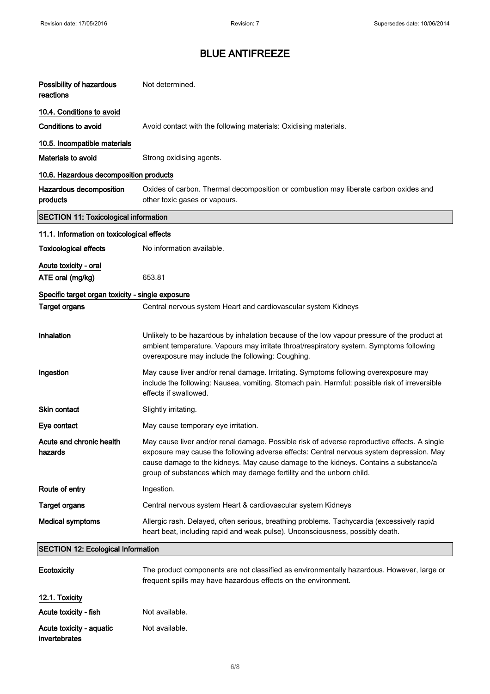| Possibility of hazardous<br>reactions            | Not determined.                                                                                                                                                                                                                                                                                                                                          |
|--------------------------------------------------|----------------------------------------------------------------------------------------------------------------------------------------------------------------------------------------------------------------------------------------------------------------------------------------------------------------------------------------------------------|
| 10.4. Conditions to avoid                        |                                                                                                                                                                                                                                                                                                                                                          |
| Conditions to avoid                              | Avoid contact with the following materials: Oxidising materials.                                                                                                                                                                                                                                                                                         |
| 10.5. Incompatible materials                     |                                                                                                                                                                                                                                                                                                                                                          |
| <b>Materials to avoid</b>                        | Strong oxidising agents.                                                                                                                                                                                                                                                                                                                                 |
| 10.6. Hazardous decomposition products           |                                                                                                                                                                                                                                                                                                                                                          |
| Hazardous decomposition<br>products              | Oxides of carbon. Thermal decomposition or combustion may liberate carbon oxides and<br>other toxic gases or vapours.                                                                                                                                                                                                                                    |
| <b>SECTION 11: Toxicological information</b>     |                                                                                                                                                                                                                                                                                                                                                          |
| 11.1. Information on toxicological effects       |                                                                                                                                                                                                                                                                                                                                                          |
| <b>Toxicological effects</b>                     | No information available.                                                                                                                                                                                                                                                                                                                                |
| Acute toxicity - oral<br>ATE oral (mg/kg)        | 653.81                                                                                                                                                                                                                                                                                                                                                   |
| Specific target organ toxicity - single exposure |                                                                                                                                                                                                                                                                                                                                                          |
| <b>Target organs</b>                             | Central nervous system Heart and cardiovascular system Kidneys                                                                                                                                                                                                                                                                                           |
| Inhalation                                       | Unlikely to be hazardous by inhalation because of the low vapour pressure of the product at<br>ambient temperature. Vapours may irritate throat/respiratory system. Symptoms following<br>overexposure may include the following: Coughing.                                                                                                              |
| Ingestion                                        | May cause liver and/or renal damage. Irritating. Symptoms following overexposure may<br>include the following: Nausea, vomiting. Stomach pain. Harmful: possible risk of irreversible<br>effects if swallowed.                                                                                                                                           |
| <b>Skin contact</b>                              | Slightly irritating.                                                                                                                                                                                                                                                                                                                                     |
| Eye contact                                      | May cause temporary eye irritation.                                                                                                                                                                                                                                                                                                                      |
| Acute and chronic health<br>hazards              | May cause liver and/or renal damage. Possible risk of adverse reproductive effects. A single<br>exposure may cause the following adverse effects: Central nervous system depression. May<br>cause damage to the kidneys. May cause damage to the kidneys. Contains a substance/a<br>group of substances which may damage fertility and the unborn child. |
| Route of entry                                   | Ingestion.                                                                                                                                                                                                                                                                                                                                               |
| <b>Target organs</b>                             | Central nervous system Heart & cardiovascular system Kidneys                                                                                                                                                                                                                                                                                             |
| <b>Medical symptoms</b>                          | Allergic rash. Delayed, often serious, breathing problems. Tachycardia (excessively rapid<br>heart beat, including rapid and weak pulse). Unconsciousness, possibly death.                                                                                                                                                                               |
| <b>SECTION 12: Ecological Information</b>        |                                                                                                                                                                                                                                                                                                                                                          |
| Ecotoxicity                                      | The product components are not classified as environmentally hazardous. However, large or<br>frequent spills may have hazardous effects on the environment.                                                                                                                                                                                              |
| 12.1. Toxicity                                   |                                                                                                                                                                                                                                                                                                                                                          |
| Acute toxicity - fish                            | Not available.                                                                                                                                                                                                                                                                                                                                           |
| Acute toxicity - aquatic<br>invertebrates        | Not available.                                                                                                                                                                                                                                                                                                                                           |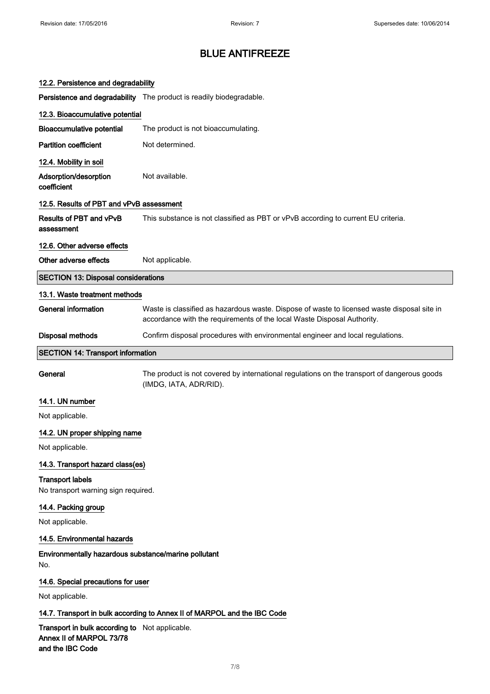| 12.2. Persistence and degradability                                                            |                                                                                                                                                                        |
|------------------------------------------------------------------------------------------------|------------------------------------------------------------------------------------------------------------------------------------------------------------------------|
|                                                                                                | Persistence and degradability The product is readily biodegradable.                                                                                                    |
| 12.3. Bioaccumulative potential                                                                |                                                                                                                                                                        |
| <b>Bioaccumulative potential</b>                                                               | The product is not bioaccumulating.                                                                                                                                    |
| <b>Partition coefficient</b>                                                                   | Not determined.                                                                                                                                                        |
| 12.4. Mobility in soil                                                                         |                                                                                                                                                                        |
| Adsorption/desorption<br>coefficient                                                           | Not available.                                                                                                                                                         |
| 12.5. Results of PBT and vPvB assessment                                                       |                                                                                                                                                                        |
| <b>Results of PBT and vPvB</b><br>assessment                                                   | This substance is not classified as PBT or vPvB according to current EU criteria.                                                                                      |
| 12.6. Other adverse effects                                                                    |                                                                                                                                                                        |
| Other adverse effects                                                                          | Not applicable.                                                                                                                                                        |
| <b>SECTION 13: Disposal considerations</b>                                                     |                                                                                                                                                                        |
| 13.1. Waste treatment methods                                                                  |                                                                                                                                                                        |
| <b>General information</b>                                                                     | Waste is classified as hazardous waste. Dispose of waste to licensed waste disposal site in<br>accordance with the requirements of the local Waste Disposal Authority. |
| Disposal methods                                                                               | Confirm disposal procedures with environmental engineer and local regulations.                                                                                         |
| <b>SECTION 14: Transport information</b>                                                       |                                                                                                                                                                        |
| General                                                                                        | The product is not covered by international regulations on the transport of dangerous goods<br>(IMDG, IATA, ADR/RID).                                                  |
| 14.1. UN number                                                                                |                                                                                                                                                                        |
| Not applicable.                                                                                |                                                                                                                                                                        |
| 14.2. UN proper shipping name                                                                  |                                                                                                                                                                        |
| Not applicable.                                                                                |                                                                                                                                                                        |
| 14.3. Transport hazard class(es)                                                               |                                                                                                                                                                        |
| <b>Transport labels</b><br>No transport warning sign required.                                 |                                                                                                                                                                        |
| 14.4. Packing group                                                                            |                                                                                                                                                                        |
| Not applicable.                                                                                |                                                                                                                                                                        |
| 14.5. Environmental hazards                                                                    |                                                                                                                                                                        |
| Environmentally hazardous substance/marine pollutant<br>No.                                    |                                                                                                                                                                        |
| 14.6. Special precautions for user                                                             |                                                                                                                                                                        |
| Not applicable.                                                                                |                                                                                                                                                                        |
|                                                                                                | 14.7. Transport in bulk according to Annex II of MARPOL and the IBC Code                                                                                               |
| Transport in bulk according to Not applicable.<br>Annex II of MARPOL 73/78<br>and the IBC Code |                                                                                                                                                                        |